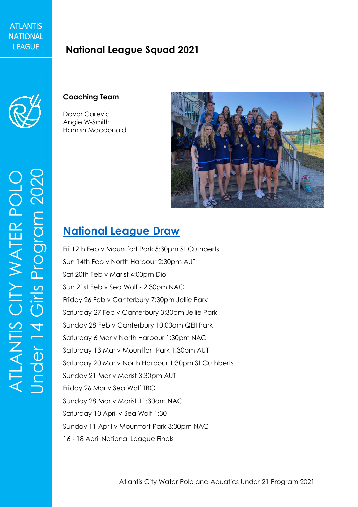#### **ATLANTIS** NATIONAL **LEAGUE**

## **National League Squad 2021**



### **Coaching Team**

Davor Carevic Angie W-Smith Hamish Macdonald



## **[National League Draw](https://docs.google.com/spreadsheets/d/1riGk93E87DTCXqxOaI9sQnGksIuuUG1Wbz11GCVYKZg/edit)**

Fri 12th Feb v Mountfort Park 5:30pm St Cuthberts Sun 14th Feb v North Harbour 2:30pm AUT Sat 20th Feb v Marist 4:00pm Dio Sun 21st Feb v Sea Wolf - 2:30pm NAC Friday 26 Feb v Canterbury 7:30pm Jellie Park Saturday 27 Feb v Canterbury 3:30pm Jellie Park Sunday 28 Feb v Canterbury 10:00am QEII Park Saturday 6 Mar v North Harbour 1:30pm NAC Saturday 13 Mar v Mountfort Park 1:30pm AUT Saturday 20 Mar v North Harbour 1:30pm St Cuthberts Sunday 21 Mar v Marist 3:30pm AUT Friday 26 Mar v Sea Wolf TBC Sunday 28 Mar v Marist 11:30am NAC Saturday 10 April v Sea Wolf 1:30 Sunday 11 April v Mountfort Park 3:00pm NAC 16 - 18 April National League Finals

ATLANTIS CITY WATER POLO Program 2020 ATLANTIS CITY WATER POLO Under 14 Girls Prog Cirls Jnder 14